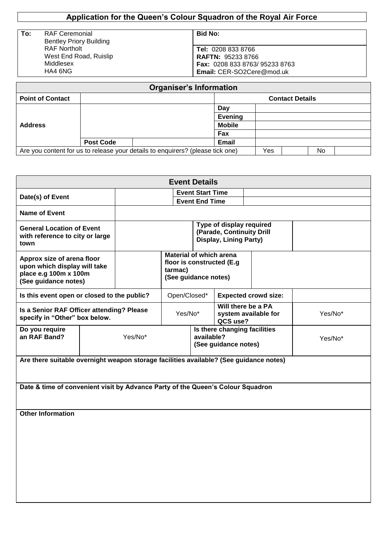# **Application for the Queen's Colour Squadron of the Royal Air Force**

| To: | <b>RAF Ceremonial</b>          |  |  |  |
|-----|--------------------------------|--|--|--|
|     | <b>Bentley Priory Building</b> |  |  |  |
|     | <b>RAF Northolt</b>            |  |  |  |
|     | West End Road, Ruislip         |  |  |  |
|     | Middlesex                      |  |  |  |
|     | HA4 6NG                        |  |  |  |

| . .<br>×<br>×<br>٧ |
|--------------------|
|--------------------|

**Tel:** 0208 833 8766 **RAFTN:** 95233 8766 **Fax:** 0208 833 8763/ 95233 8763 **Email:** CER-SO2Cere@mod.uk

|                         |                                                                                | <b>Organiser's Information</b> |                        |  |  |  |  |
|-------------------------|--------------------------------------------------------------------------------|--------------------------------|------------------------|--|--|--|--|
| <b>Point of Contact</b> |                                                                                |                                | <b>Contact Details</b> |  |  |  |  |
| <b>Address</b>          |                                                                                | Day                            |                        |  |  |  |  |
|                         |                                                                                | <b>Evening</b>                 |                        |  |  |  |  |
|                         |                                                                                | <b>Mobile</b>                  |                        |  |  |  |  |
|                         |                                                                                | Fax                            |                        |  |  |  |  |
|                         | <b>Post Code</b>                                                               | Email                          |                        |  |  |  |  |
|                         | Are you content for us to release your details to enquirers? (please tick one) | Yes                            | No                     |  |  |  |  |

| <b>Event Details</b>                                                                                        |         |                       |                                                                                                 |                                                      |                                                                                 |                                            |         |
|-------------------------------------------------------------------------------------------------------------|---------|-----------------------|-------------------------------------------------------------------------------------------------|------------------------------------------------------|---------------------------------------------------------------------------------|--------------------------------------------|---------|
| Date(s) of Event                                                                                            |         |                       |                                                                                                 | <b>Event Start Time</b>                              |                                                                                 |                                            |         |
| <b>Name of Event</b>                                                                                        |         | <b>Event End Time</b> |                                                                                                 |                                                      |                                                                                 |                                            |         |
| <b>General Location of Event</b><br>with reference to city or large<br>town                                 |         |                       |                                                                                                 |                                                      | Type of display required<br>(Parade, Continuity Drill<br>Display, Lining Party) |                                            |         |
| Approx size of arena floor<br>upon which display will take<br>place e.g 100m x 100m<br>(See guidance notes) |         |                       | <b>Material of which arena</b><br>floor is constructed (E.g.<br>tarmac)<br>(See guidance notes) |                                                      |                                                                                 |                                            |         |
| Is this event open or closed to the public?                                                                 |         |                       |                                                                                                 | Open/Closed*                                         |                                                                                 | <b>Expected crowd size:</b>                |         |
| Is a Senior RAF Officer attending? Please<br>specify in "Other" box below.                                  |         |                       |                                                                                                 | Yes/No*                                              | QCS use?                                                                        | Will there be a PA<br>system available for | Yes/No* |
| Do you require<br>an RAF Band?                                                                              | Yes/No* |                       | available?                                                                                      | Is there changing facilities<br>(See guidance notes) |                                                                                 | Yes/No*                                    |         |
| Are there suitable overnight weapon storage facilities available? (See guidance notes)                      |         |                       |                                                                                                 |                                                      |                                                                                 |                                            |         |
| Date & time of convenient visit by Advance Party of the Queen's Colour Squadron                             |         |                       |                                                                                                 |                                                      |                                                                                 |                                            |         |
| <b>Other Information</b>                                                                                    |         |                       |                                                                                                 |                                                      |                                                                                 |                                            |         |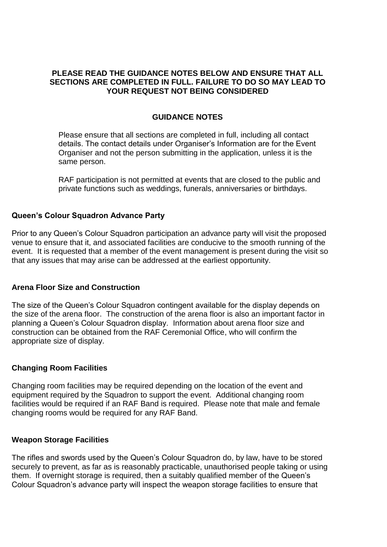## **PLEASE READ THE GUIDANCE NOTES BELOW AND ENSURE THAT ALL SECTIONS ARE COMPLETED IN FULL. FAILURE TO DO SO MAY LEAD TO YOUR REQUEST NOT BEING CONSIDERED**

## **GUIDANCE NOTES**

Please ensure that all sections are completed in full, including all contact details. The contact details under Organiser's Information are for the Event Organiser and not the person submitting in the application, unless it is the same person.

RAF participation is not permitted at events that are closed to the public and private functions such as weddings, funerals, anniversaries or birthdays.

### **Queen's Colour Squadron Advance Party**

Prior to any Queen's Colour Squadron participation an advance party will visit the proposed venue to ensure that it, and associated facilities are conducive to the smooth running of the event. It is requested that a member of the event management is present during the visit so that any issues that may arise can be addressed at the earliest opportunity.

### **Arena Floor Size and Construction**

The size of the Queen's Colour Squadron contingent available for the display depends on the size of the arena floor. The construction of the arena floor is also an important factor in planning a Queen's Colour Squadron display. Information about arena floor size and construction can be obtained from the RAF Ceremonial Office, who will confirm the appropriate size of display.

### **Changing Room Facilities**

Changing room facilities may be required depending on the location of the event and equipment required by the Squadron to support the event. Additional changing room facilities would be required if an RAF Band is required. Please note that male and female changing rooms would be required for any RAF Band.

#### **Weapon Storage Facilities**

The rifles and swords used by the Queen's Colour Squadron do, by law, have to be stored securely to prevent, as far as is reasonably practicable, unauthorised people taking or using them. If overnight storage is required, then a suitably qualified member of the Queen's Colour Squadron's advance party will inspect the weapon storage facilities to ensure that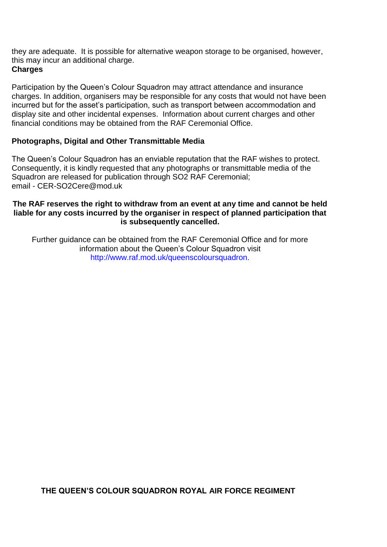they are adequate. It is possible for alternative weapon storage to be organised, however, this may incur an additional charge. **Charges**

Participation by the Queen's Colour Squadron may attract attendance and insurance charges. In addition, organisers may be responsible for any costs that would not have been incurred but for the asset's participation, such as transport between accommodation and display site and other incidental expenses. Information about current charges and other financial conditions may be obtained from the RAF Ceremonial Office.

## **Photographs, Digital and Other Transmittable Media**

The Queen's Colour Squadron has an enviable reputation that the RAF wishes to protect. Consequently, it is kindly requested that any photographs or transmittable media of the Squadron are released for publication through SO2 RAF Ceremonial; email - CER-SO2Cere@mod.uk

## **The RAF reserves the right to withdraw from an event at any time and cannot be held liable for any costs incurred by the organiser in respect of planned participation that is subsequently cancelled.**

Further guidance can be obtained from the RAF Ceremonial Office and for more information about the Queen's Colour Squadron visit http://www.raf.mod.uk/queenscoloursquadron.

**THE QUEEN'S COLOUR SQUADRON ROYAL AIR FORCE REGIMENT**